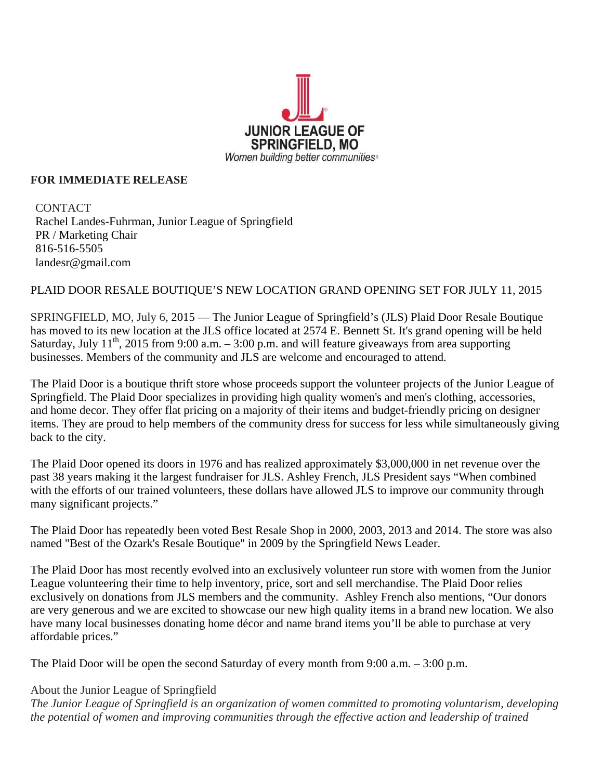

## **FOR IMMEDIATE RELEASE**

**CONTACT** Rachel Landes-Fuhrman, Junior League of Springfield PR / Marketing Chair 816-516-5505 landesr@gmail.com

## PLAID DOOR RESALE BOUTIQUE'S NEW LOCATION GRAND OPENING SET FOR JULY 11, 2015

SPRINGFIELD, MO, July 6, 2015 — The Junior League of Springfield's (JLS) Plaid Door Resale Boutique has moved to its new location at the JLS office located at 2574 E. Bennett St. It's grand opening will be held Saturday, July  $11^{th}$ , 2015 from 9:00 a.m.  $-3:00$  p.m. and will feature giveaways from area supporting businesses. Members of the community and JLS are welcome and encouraged to attend.

The Plaid Door is a boutique thrift store whose proceeds support the volunteer projects of the Junior League of Springfield. The Plaid Door specializes in providing high quality women's and men's clothing, accessories, and home decor. They offer flat pricing on a majority of their items and budget-friendly pricing on designer items. They are proud to help members of the community dress for success for less while simultaneously giving back to the city.

The Plaid Door opened its doors in 1976 and has realized approximately \$3,000,000 in net revenue over the past 38 years making it the largest fundraiser for JLS. Ashley French, JLS President says "When combined with the efforts of our trained volunteers, these dollars have allowed JLS to improve our community through many significant projects."

The Plaid Door has repeatedly been voted Best Resale Shop in 2000, 2003, 2013 and 2014. The store was also named "Best of the Ozark's Resale Boutique" in 2009 by the Springfield News Leader.

The Plaid Door has most recently evolved into an exclusively volunteer run store with women from the Junior League volunteering their time to help inventory, price, sort and sell merchandise. The Plaid Door relies exclusively on donations from JLS members and the community. Ashley French also mentions, "Our donors are very generous and we are excited to showcase our new high quality items in a brand new location. We also have many local businesses donating home décor and name brand items you'll be able to purchase at very affordable prices."

The Plaid Door will be open the second Saturday of every month from 9:00 a.m. – 3:00 p.m.

## About the Junior League of Springfield

*The Junior League of Springfield is an organization of women committed to promoting voluntarism, developing the potential of women and improving communities through the effective action and leadership of trained*